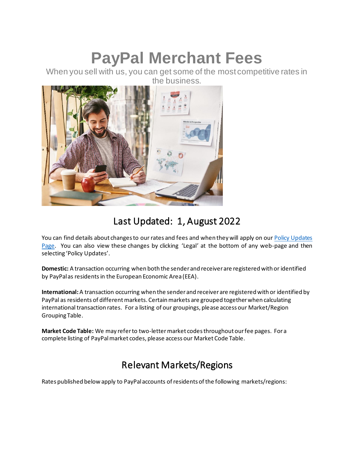# **PayPal Merchant Fees**

When you sell with us, you can get some of the most competitive rates in the business.



## Last Updated: 1, August 2022

You can find details about changes to our rates and fees and when they will apply on our Policy Updates [Page](https://www.paypal.com/cz/webapps/mpp/ua/upcoming-policies-full?locale.x=en_CZ). You can also view these changes by clicking 'Legal' at the bottom of any web-page and then selecting 'Policy Updates'.

**Domestic:** A transaction occurring when both the sender and receiver are registered with or identified by PayPal as residents in the European Economic Area (EEA).

**International:**A transaction occurring when the sender and receiver are registered with or identified by PayPal as residents of different markets. Certain markets are grouped together when calculating international transaction rates. For a listing of our groupings, please access our Market/Region Grouping Table.

**Market Code Table:** We may refer to two-letter market codes throughout our fee pages. For a complete listing of PayPal market codes, please access our Market Code Table.

## Relevant Markets/Regions

Rates published below apply to PayPal accounts of residents of the following markets/regions: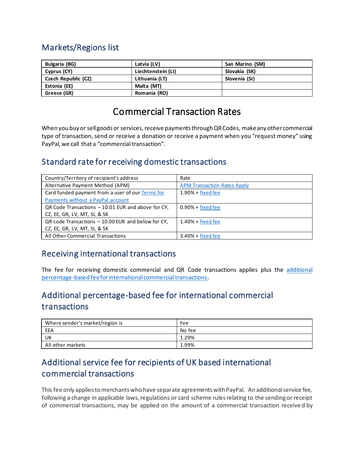#### Markets/Regions list

| <b>Bulgaria (BG)</b> | Latvia (LV)        | San Marino (SM) |
|----------------------|--------------------|-----------------|
| Cyprus (CY)          | Liechtenstein (LI) | Slovakia (SK)   |
| Czech Republic (CZ)  | Lithuania (LT)     | Slovenia (SI)   |
| Estonia (EE)         | Malta (MT)         |                 |
| Greece (GR)          | Romania (RO)       |                 |

## Commercial Transaction Rates

<span id="page-1-2"></span>When you buy or sell goods or services, receive payments through QR Codes, make any other commercial type of transaction, send or receive a donation or receive a payment when you "request money" using PayPal, we call that a "commercial transaction".

#### Standard rate for receiving domestic transactions

| Country/Territory of recipient's address           | Rate                               |
|----------------------------------------------------|------------------------------------|
| Alternative Payment Method (APM)                   | <b>APM Transaction Rates Apply</b> |
| Card funded payment from a user of our Terms for   | $1.90% + fixed$ fixed fee          |
| Payments without a PayPal account                  |                                    |
| QR Code Transactions - 10.01 EUR and above for CY, | $0.90% + fixed$ fixed fee          |
| CZ, EE, GR, LV, MT, SI, & SK                       |                                    |
| QR code Transactions - 10.00 EUR and below for CY, | $1.40%$ + fixed fee                |
| CZ, EE, GR, LV, MT, SI, & SK                       |                                    |
| All Other Commercial Transactions                  | $3.40% + fixed$ fixed fee          |

#### Receiving international transactions

The fee for receiving domestic commercial and QR Code transactions applies plus the [additional](#page-1-1)  [percentage-based fee for international commercial transactions.](#page-1-1)

#### <span id="page-1-1"></span>Additional percentage-based fee for international commercial transactions

| Where sender's market/region is | Fee    |
|---------------------------------|--------|
| EEA                             | No fee |
| UK                              | 1.29%  |
| All other markets               | 1.99%  |

#### <span id="page-1-0"></span>Additional service fee for recipients of UK based international commercial transactions

This fee only applies to merchants who have separate agreements with PayPal. An additional service fee, following a change in applicable laws, regulations or card scheme rules relating to the sending or receipt of commercial transactions, may be applied on the amount of a commercial transaction receive d by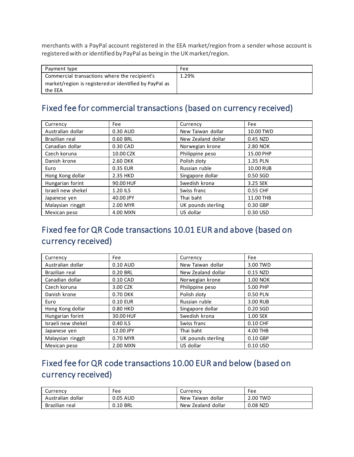merchants with a PayPal account registered in the EEA market/region from a sender whose account is registered with or identified by PayPal as being in the UK market/region.

| Payment type                                           | Fee   |
|--------------------------------------------------------|-------|
| Commercial transactions where the recipient's          | 1.29% |
| market/region is registered or identified by PayPal as |       |
| the EEA                                                |       |

#### Fixed fee for commercial transactions (based on currency received)

| Currency           | Fee       | Currency           | Fee       |
|--------------------|-----------|--------------------|-----------|
| Australian dollar  | 0.30 AUD  | New Taiwan dollar  | 10.00 TWD |
| Brazilian real     | 0.60 BRL  | New Zealand dollar | 0.45 NZD  |
| Canadian dollar    | 0.30 CAD  | Norwegian krone    | 2.80 NOK  |
| Czech koruna       | 10.00 CZK | Philippine peso    | 15.00 PHP |
| Danish krone       | 2.60 DKK  | Polish zloty       | 1.35 PLN  |
| Euro               | 0.35 EUR  | Russian ruble      | 10.00 RUB |
| Hong Kong dollar   | 2.35 HKD  | Singapore dollar   | 0.50 SGD  |
| Hungarian forint   | 90.00 HUF | Swedish krona      | 3.25 SEK  |
| Israeli new shekel | 1.20 ILS  | Swiss franc        | 0.55 CHF  |
| Japanese yen       | 40.00 JPY | Thai baht          | 11.00 THB |
| Malaysian ringgit  | 2.00 MYR  | UK pounds sterling | 0.30 GBP  |
| Mexican peso       | 4.00 MXN  | US dollar          | 0.30 USD  |

## <span id="page-2-0"></span>Fixed fee for QR Code transactions 10.01 EUR and above (based on currency received)

| Currency           | Fee       | Currency           | Fee             |
|--------------------|-----------|--------------------|-----------------|
| Australian dollar  | 0.10 AUD  | New Taiwan dollar  | 3.00 TWD        |
| Brazilian real     | 0.20 BRL  | New Zealand dollar | 0.15 NZD        |
| Canadian dollar    | 0.10 CAD  | Norwegian krone    | <b>1.00 NOK</b> |
| Czech koruna       | 3.00 CZK  | Philippine peso    | 5.00 PHP        |
| Danish krone       | 0.70 DKK  | Polish zloty       | 0.50 PLN        |
| Euro               | 0.10 EUR  | Russian ruble      | 3.00 RUB        |
| Hong Kong dollar   | 0.80 HKD  | Singapore dollar   | 0.20 SGD        |
| Hungarian forint   | 30.00 HUF | Swedish krona      | 1.00 SEK        |
| Israeli new shekel | 0.40 ILS  | Swiss franc        | 0.10 CHF        |
| Japanese yen       | 12.00 JPY | Thai baht          | 4.00 THB        |
| Malaysian ringgit  | 0.70 MYR  | UK pounds sterling | 0.10 GBP        |
| Mexican peso       | 2.00 MXN  | US dollar          | 0.10 USD        |

## <span id="page-2-1"></span>Fixed fee for QR code transactions 10.00 EUR and below (based on currency received)

| Currencv          | Fee      | Currencv           | Fee      |
|-------------------|----------|--------------------|----------|
| Australian dollar | 0.05 AUD | New Taiwan dollar  | 2.00 TWD |
| Brazilian real    | 0.10 BRL | New Zealand dollar | 0.08 NZD |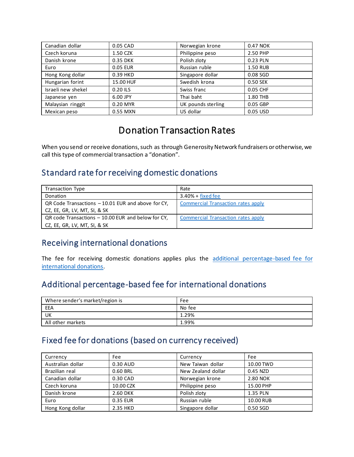| Canadian dollar    | 0.05 CAD  | Norwegian krone    | 0.47 NOK |
|--------------------|-----------|--------------------|----------|
| Czech koruna       | 1.50 CZK  | Philippine peso    | 2.50 PHP |
| Danish krone       | 0.35 DKK  | Polish zloty       | 0.23 PLN |
| Euro               | 0.05 EUR  | Russian ruble      | 1.50 RUB |
| Hong Kong dollar   | 0.39 HKD  | Singapore dollar   | 0.08 SGD |
| Hungarian forint   | 15.00 HUF | Swedish krona      | 0.50 SEK |
| Israeli new shekel | 0.20 ILS  | Swiss franc        | 0.05 CHF |
| Japanese yen       | 6.00 JPY  | Thai baht          | 1.80 THB |
| Malaysian ringgit  | 0.20 MYR  | UK pounds sterling | 0.05 GBP |
| Mexican peso       | 0.55 MXN  | US dollar          | 0.05 USD |

## Donation Transaction Rates

When you send or receive donations, such as through Generosity Network fundraisers or otherwise, we call this type of commercial transaction a "donation".

#### Standard rate for receiving domestic donations

| <b>Transaction Type</b>                            | Rate                                      |
|----------------------------------------------------|-------------------------------------------|
| Donation                                           | $3.40% + fixed$ fixed fee                 |
| QR Code Transactions - 10.01 EUR and above for CY, | <b>Commercial Transaction rates apply</b> |
| CZ, EE, GR, LV, MT, SI, & SK                       |                                           |
| QR code Transactions – 10.00 EUR and below for CY. | Commercial Transaction rates apply        |
| CZ, EE, GR, LV, MT, SI, & SK                       |                                           |

#### Receiving international donations

The fee for receiving domestic donations applies plus the additional percentage-based fee for [international donations.](#page-3-1)

#### <span id="page-3-1"></span>Additional percentage-based fee for international donations

| Where sender's market/region is | Fee    |
|---------------------------------|--------|
| EEA                             | No fee |
| UK                              | 1.29%  |
| All other markets               | 1.99%  |

#### <span id="page-3-0"></span>Fixed fee for donations (based on currency received)

| Currency          | Fee       | Currency           | Fee       |
|-------------------|-----------|--------------------|-----------|
| Australian dollar | 0.30 AUD  | New Taiwan dollar  | 10.00 TWD |
| Brazilian real    | 0.60 BRL  | New Zealand dollar | 0.45 NZD  |
| Canadian dollar   | 0.30 CAD  | Norwegian krone    | 2.80 NOK  |
| Czech koruna      | 10.00 CZK | Philippine peso    | 15.00 PHP |
| Danish krone      | 2.60 DKK  | Polish zloty       | 1.35 PLN  |
| Euro              | 0.35 EUR  | Russian ruble      | 10.00 RUB |
| Hong Kong dollar  | 2.35 HKD  | Singapore dollar   | 0.50 SGD  |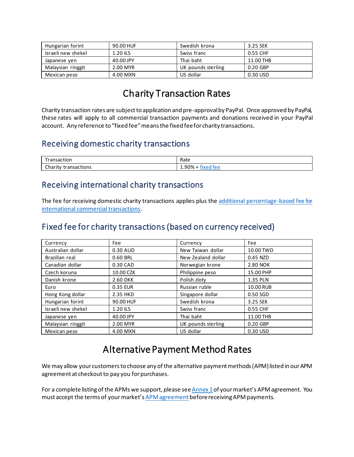| Hungarian forint   | 90.00 HUF | Swedish krona      | 3.25 SEK  |
|--------------------|-----------|--------------------|-----------|
| Israeli new shekel | 1.20 ILS  | Swiss franc        | 0.55 CHF  |
| Japanese yen       | 40.00 JPY | Thai baht          | 11.00 THB |
| Malaysian ringgit  | 2.00 MYR  | UK pounds sterling | 0.20 GBP  |
| Mexican peso       | 4.00 MXN  | US dollar          | 0.30 USD  |

## Charity Transaction Rates

Charity transaction rates are subject to application and pre-approval by PayPal. Once approved by PayPal, these rates will apply to all commercial transaction payments and donations received in your PayPal account. Any reference to "fixed fee" means the fixed fee for charity transactions.

#### Receiving domestic charity transactions

| $\overline{\phantom{0}}$<br>5.000000000000<br>uor | Rate           |
|---------------------------------------------------|----------------|
| nhov<br>transactions<br>. ILV                     | ገ%<br>$\cdots$ |

#### Receiving international charity transactions

The fee for receiving domestic charity transactions applies plus the [additional percentage-based fee for](#page-1-1)  [international commercial transactions.](#page-1-1)

#### <span id="page-4-1"></span>Fixed fee for charity transactions (based on currency received)

| Currency           | Fee       | Currency           | Fee       |
|--------------------|-----------|--------------------|-----------|
| Australian dollar  | 0.30 AUD  | New Taiwan dollar  | 10.00 TWD |
| Brazilian real     | 0.60 BRL  | New Zealand dollar | 0.45 NZD  |
| Canadian dollar    | 0.30 CAD  | Norwegian krone    | 2.80 NOK  |
| Czech koruna       | 10.00 CZK | Philippine peso    | 15.00 PHP |
| Danish krone       | 2.60 DKK  | Polish zloty       | 1.35 PLN  |
| Euro               | 0.35 EUR  | Russian ruble      | 10.00 RUB |
| Hong Kong dollar   | 2.35 HKD  | Singapore dollar   | 0.50 SGD  |
| Hungarian forint   | 90.00 HUF | Swedish krona      | 3.25 SEK  |
| Israeli new shekel | 1.20 ILS  | Swiss franc        | 0.55 CHF  |
| Japanese yen       | 40.00 JPY | Thai baht          | 11.00 THB |
| Malaysian ringgit  | 2.00 MYR  | UK pounds sterling | 0.20 GBP  |
| Mexican peso       | 4.00 MXN  | US dollar          | 0.30 USD  |

## Alternative Payment Method Rates

<span id="page-4-0"></span>We may allow your customers to choose any of the alternative payment methods (APM) listed in our APM agreement at checkout to pay you for purchases.

For a complete listing of the APMs we support, please se[e Annex 1](https://www.paypal.com/cz/webapps/mpp/ua/apm-tnc?locale.x=en_CZ#annex1)of your market's APM agreement. You must accept the terms of your market's [APM agreement](https://www.paypal.com/cz/webapps/mpp/ua/apm-tnc?locale.x=en_CZ) before receiving APM payments.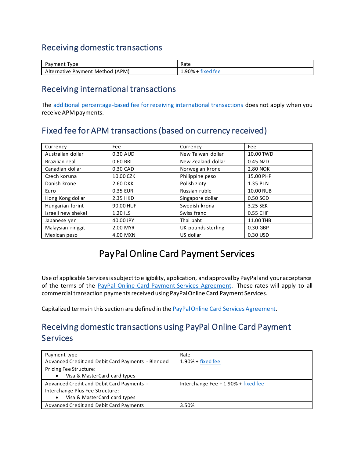#### Receiving domestic transactions

| `vpe<br>ment<br>dV                     | Rate             |
|----------------------------------------|------------------|
| (APM)<br>Method<br>ernative<br>Payment | tee<br>. .<br>7٥ |

#### Receiving international transactions

The [additional percentage-based fee for receiving international transactions](#page-1-1) does not apply when you receive APM payments.

#### <span id="page-5-0"></span>Fixed fee for APM transactions (based on currency received)

| Currency           | Fee       | Currency           | Fee       |
|--------------------|-----------|--------------------|-----------|
| Australian dollar  | 0.30 AUD  | New Taiwan dollar  | 10.00 TWD |
| Brazilian real     | 0.60 BRL  | New Zealand dollar | 0.45 NZD  |
| Canadian dollar    | 0.30 CAD  | Norwegian krone    | 2.80 NOK  |
| Czech koruna       | 10.00 CZK | Philippine peso    | 15.00 PHP |
| Danish krone       | 2.60 DKK  | Polish zloty       | 1.35 PLN  |
| Euro               | 0.35 EUR  | Russian ruble      | 10.00 RUB |
| Hong Kong dollar   | 2.35 HKD  | Singapore dollar   | 0.50 SGD  |
| Hungarian forint   | 90.00 HUF | Swedish krona      | 3.25 SEK  |
| Israeli new shekel | 1.20 ILS  | Swiss franc        | 0.55 CHF  |
| Japanese yen       | 40.00 JPY | Thai baht          | 11.00 THB |
| Malaysian ringgit  | 2.00 MYR  | UK pounds sterling | 0.30 GBP  |
| Mexican peso       | 4.00 MXN  | US dollar          | 0.30 USD  |

## PayPal Online Card Payment Services

Use of applicable Services is subject to eligibility, application, and approval by PayPal and your acceptance of the terms of the [PayPal Online Card Payment Services](https://www.paypal.com/cz/webapps/mpp/ua/pocpsa-full?locale.x=en_CZ) Agreement. These rates will apply to all commercial transaction payments received using PayPal Online Card Payment Services.

Capitalized terms in this section are defined in th[e PayPal Online Card Services](https://www.paypal.com/cz/webapps/mpp/ua/pocpsa-full?locale.x=en_CZ) Agreement.

#### Receiving domestic transactions using PayPal Online Card Payment **Services**

| Payment type                                      | Rate                                 |
|---------------------------------------------------|--------------------------------------|
| Advanced Credit and Debit Card Payments - Blended | $1.90% + fixed$ fixed fee            |
| Pricing Fee Structure:                            |                                      |
| Visa & MasterCard card types                      |                                      |
| Advanced Credit and Debit Card Payments -         | Interchange Fee $+1.90%$ + fixed fee |
| Interchange Plus Fee Structure:                   |                                      |
| Visa & MasterCard card types                      |                                      |
| Advanced Credit and Debit Card Payments           | 3.50%                                |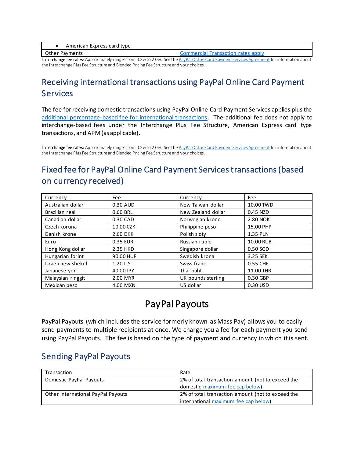| American Express card type |                                    |
|----------------------------|------------------------------------|
| Other Pavments             | Commercial Transaction rates apply |
|                            |                                    |

Interchange fee rates: Approximately ranges from 0.2% to 2.0%. See th[e PayPal Online Card Payment Services Agreement](https://www.paypal.com/cz/webapps/mpp/ua/pocpsa-full?locale.x=en_CZ) for information about the Interchange Plus Fee Structure and Blended Pricing Fee Structure and your choices.

#### Receiving international transactions using PayPal Online Card Payment Services

The fee for receiving domestic transactions using PayPal Online Card Payment Services applies plus the [additional percentage-based fee for international transactions.](#page-1-1) The additional fee does not apply to interchange-based fees under the Interchange Plus Fee Structure, American Express card type transactions, and APM (as applicable).

Interchange fee rates: Approximately ranges from 0.2% to 2.0%. See th[e PayPal Online Card Payment Services Agreement](https://www.paypal.com/cz/webapps/mpp/ua/pocpsa-full?locale.x=en_CZ) for information about the Interchange Plus Fee Structure and Blended Pricing Fee Structure and your choices.

## <span id="page-6-0"></span>Fixed fee for PayPal Online Card Payment Services transactions (based on currency received)

| Currency           | Fee       | Currency           | Fee        |
|--------------------|-----------|--------------------|------------|
| Australian dollar  | 0.30 AUD  | New Taiwan dollar  | 10.00 TWD  |
| Brazilian real     | 0.60 BRL  | New Zealand dollar | 0.45 NZD   |
| Canadian dollar    | 0.30 CAD  | Norwegian krone    | 2.80 NOK   |
| Czech koruna       | 10.00 CZK | Philippine peso    | 15.00 PHP  |
| Danish krone       | 2.60 DKK  | Polish zloty       | 1.35 PLN   |
| Euro               | 0.35 EUR  | Russian ruble      | 10.00 RUB  |
| Hong Kong dollar   | 2.35 HKD  | Singapore dollar   | $0.50$ SGD |
| Hungarian forint   | 90.00 HUF | Swedish krona      | 3.25 SEK   |
| Israeli new shekel | 1.20 ILS  | Swiss franc        | 0.55 CHF   |
| Japanese yen       | 40.00 JPY | Thai baht          | 11.00 THB  |
| Malaysian ringgit  | 2.00 MYR  | UK pounds sterling | 0.30 GBP   |
| Mexican peso       | 4.00 MXN  | US dollar          | 0.30 USD   |

## PayPal Payouts

PayPal Payouts (which includes the service formerly known as Mass Pay) allows you to easily send payments to multiple recipients at once. We charge you a fee for each payment you send using PayPal Payouts. The fee is based on the type of payment and currency in which it is sent.

#### Sending PayPal Payouts

| Transaction                                                                             | Rate                                              |  |
|-----------------------------------------------------------------------------------------|---------------------------------------------------|--|
| Domestic PayPal Payouts                                                                 | 2% of total transaction amount (not to exceed the |  |
|                                                                                         | domestic maximum fee cap below)                   |  |
| 2% of total transaction amount (not to exceed the<br>Other International PayPal Payouts |                                                   |  |
|                                                                                         | international maximum fee cap below)              |  |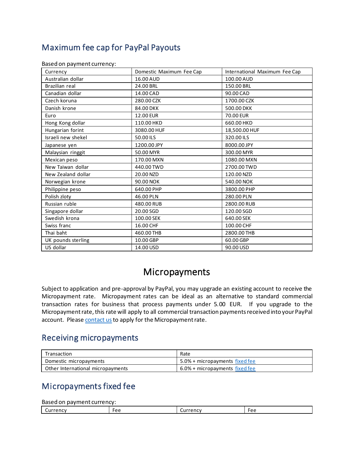### <span id="page-7-0"></span>Maximum fee cap for PayPal Payouts

| Currency           | Domestic Maximum Fee Cap | International Maximum Fee Cap |
|--------------------|--------------------------|-------------------------------|
| Australian dollar  | 16.00 AUD                | 100.00 AUD                    |
| Brazilian real     | 24.00 BRL                | 150.00 BRL                    |
| Canadian dollar    | 14.00 CAD                | 90.00 CAD                     |
| Czech koruna       | 280.00 CZK               | 1700.00 CZK                   |
| Danish krone       | 84.00 DKK                | 500.00 DKK                    |
| Euro               | 12.00 EUR                | 70.00 EUR                     |
| Hong Kong dollar   | 110.00 HKD               | 660.00 HKD                    |
| Hungarian forint   | 3080.00 HUF              | 18,500.00 HUF                 |
| Israeli new shekel | 50.00 ILS                | 320.00 ILS                    |
| Japanese yen       | 1200.00 JPY              | 8000.00 JPY                   |
| Malaysian ringgit  | 50.00 MYR                | 300.00 MYR                    |
| Mexican peso       | 170.00 MXN               | 1080.00 MXN                   |
| New Taiwan dollar  | 440.00 TWD               | 2700.00 TWD                   |
| New Zealand dollar | 20.00 NZD                | 120.00 NZD                    |
| Norwegian krone    | 90.00 NOK                | 540.00 NOK                    |
| Philippine peso    | 640.00 PHP               | 3800.00 PHP                   |
| Polish zloty       | 46.00 PLN                | 280.00 PLN                    |
| Russian ruble      | 480.00 RUB               | 2800.00 RUB                   |
| Singapore dollar   | 20.00 SGD                | 120.00 SGD                    |
| Swedish krona      | 100.00 SEK               | 640.00 SEK                    |
| Swiss franc        | 16.00 CHF                | 100.00 CHF                    |
| Thai baht          | 460.00 THB               | 2800.00 THB                   |
| UK pounds sterling | 10.00 GBP                | 60.00 GBP                     |
| US dollar          | 14.00 USD                | 90.00 USD                     |

Based on payment currency:

#### Micropayments

Subject to application and pre-approval by PayPal, you may upgrade an existing account to receive the Micropayment rate. Micropayment rates can be ideal as an alternative to standard commercial transaction rates for business that process payments under 5.00 EUR. If you upgrade to the Micropayment rate, this rate will apply to all commercial transaction payments received into your PayPal account. Pleas[e contact us](https://www.paypal.com/cz/smarthelp/home) to apply for the Micropayment rate.

#### Receiving micropayments

| Transaction                       | Rate                           |
|-----------------------------------|--------------------------------|
| Domestic micropayments            | 5.0% + micropayments fixed fee |
| Other International micropayments | 6.0% + micropayments fixed fee |

#### <span id="page-7-1"></span>Micropayments fixed fee

Based on payment currency:

| ہ -<br>rency<br>$\sim$ $\sim$ $\sim$<br>`⊔r<br>. ^<br>$ \cdots$<br>ີ<br>ີ<br>---<br>. |  |  |
|---------------------------------------------------------------------------------------|--|--|
|                                                                                       |  |  |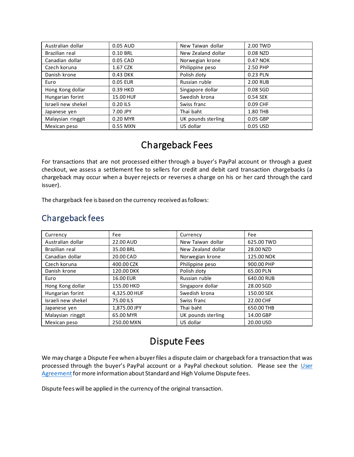| Australian dollar  | 0.05 AUD  | New Taiwan dollar  | 2.00 TWD |
|--------------------|-----------|--------------------|----------|
| Brazilian real     | 0.10 BRL  | New Zealand dollar | 0.08 NZD |
| Canadian dollar    | 0.05 CAD  | Norwegian krone    | 0.47 NOK |
| Czech koruna       | 1.67 CZK  | Philippine peso    | 2.50 PHP |
| Danish krone       | 0.43 DKK  | Polish zloty       | 0.23 PLN |
| Euro               | 0.05 EUR  | Russian ruble      | 2.00 RUB |
| Hong Kong dollar   | 0.39 HKD  | Singapore dollar   | 0.08 SGD |
| Hungarian forint   | 15.00 HUF | Swedish krona      | 0.54 SEK |
| Israeli new shekel | 0.20 ILS  | Swiss franc        | 0.09 CHF |
| Japanese yen       | 7.00 JPY  | Thai baht          | 1.80 THB |
| Malaysian ringgit  | 0.20 MYR  | UK pounds sterling | 0.05 GBP |
| Mexican peso       | 0.55 MXN  | US dollar          | 0.05 USD |

## Chargeback Fees

For transactions that are not processed either through a buyer's PayPal account or through a guest checkout, we assess a settlement fee to sellers for credit and debit card transaction chargebacks (a chargeback may occur when a buyer rejects or reverses a charge on his or her card through the card issuer).

The chargeback fee is based on the currency received as follows:

#### Chargeback fees

| Currency           | Fee              | Currency           | Fee        |
|--------------------|------------------|--------------------|------------|
| Australian dollar  | 22.00 AUD        | New Taiwan dollar  | 625.00 TWD |
| Brazilian real     | 35.00 BRL        | New Zealand dollar | 28.00 NZD  |
| Canadian dollar    | 20.00 CAD        | Norwegian krone    | 125.00 NOK |
| Czech koruna       | 400.00 CZK       | Philippine peso    | 900.00 PHP |
| Danish krone       | 120.00 DKK       | Polish zloty       | 65.00 PLN  |
| Euro               | <b>16.00 EUR</b> | Russian ruble      | 640.00 RUB |
| Hong Kong dollar   | 155.00 HKD       | Singapore dollar   | 28.00 SGD  |
| Hungarian forint   | 4,325.00 HUF     | Swedish krona      | 150.00 SEK |
| Israeli new shekel | 75.00 ILS        | Swiss franc        | 22.00 CHF  |
| Japanese yen       | 1,875.00 JPY     | Thai baht          | 650.00 THB |
| Malaysian ringgit  | 65.00 MYR        | UK pounds sterling | 14.00 GBP  |
| Mexican peso       | 250.00 MXN       | US dollar          | 20.00 USD  |

## Dispute Fees

<span id="page-8-0"></span>We may charge a Dispute Fee when a buyer files a dispute claim or chargeback for a transaction that was processed through the buyer's PayPal account or a PayPal checkout solution. Please see the User [Agreement](https://www.paypal.com/cz/webapps/mpp/ua/useragreement-full?locale.x=en_CZ) for more information about Standard and High Volume Dispute fees.

Dispute fees will be applied in the currency of the original transaction.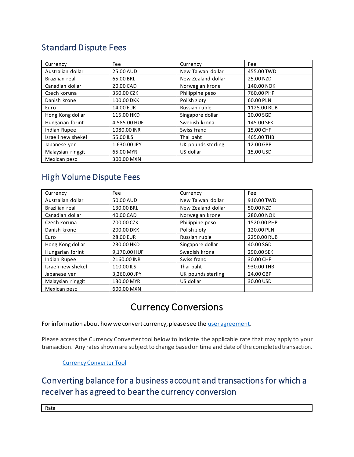#### Standard Dispute Fees

| Currency           | Fee          | Currency           | Fee         |
|--------------------|--------------|--------------------|-------------|
| Australian dollar  | 25.00 AUD    | New Taiwan dollar  | 455.00 TWD  |
| Brazilian real     | 65.00 BRL    | New Zealand dollar | 25.00 NZD   |
| Canadian dollar    | 20.00 CAD    | Norwegian krone    | 140.00 NOK  |
| Czech koruna       | 350.00 CZK   | Philippine peso    | 760.00 PHP  |
| Danish krone       | 100.00 DKK   | Polish zloty       | 60.00 PLN   |
| Euro               | 14.00 EUR    | Russian ruble      | 1125.00 RUB |
| Hong Kong dollar   | 115.00 HKD   | Singapore dollar   | 20.00 SGD   |
| Hungarian forint   | 4,585.00 HUF | Swedish krona      | 145.00 SEK  |
| Indian Rupee       | 1080.00 INR  | Swiss franc        | 15.00 CHF   |
| Israeli new shekel | 55.00 ILS    | Thai baht          | 465.00 THB  |
| Japanese yen       | 1,630.00 JPY | UK pounds sterling | 12.00 GBP   |
| Malaysian ringgit  | 65.00 MYR    | US dollar          | 15.00 USD   |
| Mexican peso       | 300.00 MXN   |                    |             |

#### High Volume Dispute Fees

| Currency           | Fee          | Currency           | Fee         |
|--------------------|--------------|--------------------|-------------|
| Australian dollar  | 50.00 AUD    | New Taiwan dollar  | 910.00 TWD  |
| Brazilian real     | 130.00 BRL   | New Zealand dollar | 50.00 NZD   |
| Canadian dollar    | 40.00 CAD    | Norwegian krone    | 280.00 NOK  |
| Czech koruna       | 700.00 CZK   | Philippine peso    | 1520.00 PHP |
| Danish krone       | 200.00 DKK   | Polish zloty       | 120.00 PLN  |
| Euro               | 28.00 EUR    | Russian ruble      | 2250.00 RUB |
| Hong Kong dollar   | 230.00 HKD   | Singapore dollar   | 40.00 SGD   |
| Hungarian forint   | 9,170.00 HUF | Swedish krona      | 290.00 SEK  |
| Indian Rupee       | 2160.00 INR  | Swiss franc        | 30.00 CHF   |
| Israeli new shekel | 110.00 ILS   | Thai baht          | 930.00 THB  |
| Japanese yen       | 3,260.00 JPY | UK pounds sterling | 24.00 GBP   |
| Malaysian ringgit  | 130.00 MYR   | US dollar          | 30.00 USD   |
| Mexican peso       | 600.00 MXN   |                    |             |

## Currency Conversions

For information about how we convert currency, please see th[e user agreement](https://www.paypal.com/mt/webapps/mpp/cz/useragreement-full?locale.x=en_MT#currency-conversion1).

Please access the Currency Converter tool below to indicate the applicable rate that may apply to your transaction. Any rates shown are subject to change based on time and date of the completed transaction.

[Currency Converter Tool](https://www.paypal.com/cz/smarthelp/article/faq1976)

## Converting balance for a business account and transactions for which a receiver has agreed to bear the currency conversion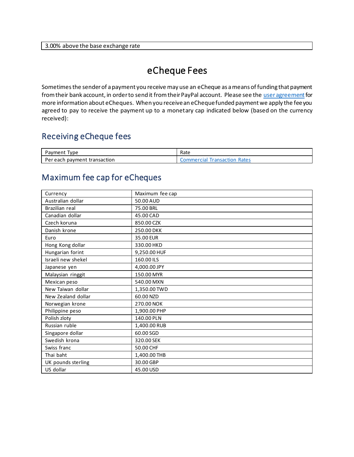#### 3.00% above the base exchange rate

## eCheque Fees

Sometimes the sender of a payment you receive may use an eCheque as a means of funding that payment from their bank account, in order to send it from their PayPal account. Please see th[e user agreement](https://www.paypal.com/cz/webapps/mpp/ua/useragreement-full?locale.x=en_CZ) for more information about eCheques. When you receive an eCheque funded payment we apply the fee you agreed to pay to receive the payment up to a monetary cap indicated below (based on the currency received):

#### Receiving eCheque fees

| 'vpe<br><sup>o</sup> avment       | Rate                                   |
|-----------------------------------|----------------------------------------|
| payment transaction<br>Per each ! | Rates<br><b>Fransaction</b><br>mercial |

#### Maximum fee cap for eCheques

| Currency           | Maximum fee cap |
|--------------------|-----------------|
| Australian dollar  | 50.00 AUD       |
| Brazilian real     | 75.00 BRL       |
| Canadian dollar    | 45.00 CAD       |
| Czech koruna       | 850.00 CZK      |
| Danish krone       | 250.00 DKK      |
| Euro               | 35.00 EUR       |
| Hong Kong dollar   | 330.00 HKD      |
| Hungarian forint   | 9,250.00 HUF    |
| Israeli new shekel | 160.00 ILS      |
| Japanese yen       | 4,000.00 JPY    |
| Malaysian ringgit  | 150.00 MYR      |
| Mexican peso       | 540.00 MXN      |
| New Taiwan dollar  | 1,350.00 TWD    |
| New Zealand dollar | 60.00 NZD       |
| Norwegian krone    | 270.00 NOK      |
| Philippine peso    | 1,900.00 PHP    |
| Polish zloty       | 140.00 PLN      |
| Russian ruble      | 1,400.00 RUB    |
| Singapore dollar   | 60.00 SGD       |
| Swedish krona      | 320.00 SEK      |
| Swiss franc        | 50.00 CHF       |
| Thai baht          | 1,400.00 THB    |
| UK pounds sterling | 30.00 GBP       |
| US dollar          | 45.00 USD       |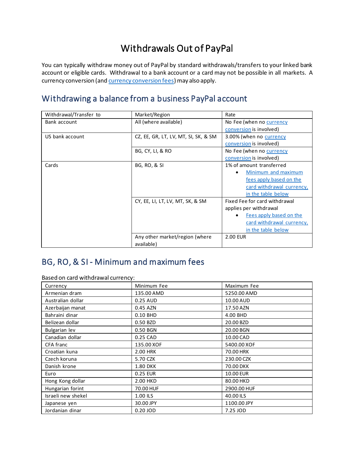## Withdrawals Out of PayPal

You can typically withdraw money out of PayPal by standard withdrawals/transfers to your linked bank account or eligible cards. Withdrawal to a bank account or a card may not be possible in all markets. A currency conversion (an[d currency conversion fees](#page-8-0)) may also apply.

#### Withdrawing a balance from a business PayPal account

| Withdrawal/Transfer to | Market/Region                        | Rate                          |
|------------------------|--------------------------------------|-------------------------------|
| Bank account           | All (where available)                | No Fee (when no currency      |
|                        |                                      | conversion is involved)       |
| US bank account        | CZ, EE, GR, LT, LV, MT, SI, SK, & SM | 3.00% (when no currency       |
|                        |                                      | conversion is involved)       |
|                        | BG, CY, LI, & RO                     | No Fee (when no currency      |
|                        |                                      | conversion is involved)       |
| Cards                  | <b>BG, RO, &amp; SI</b>              | 1% of amount transferred      |
|                        |                                      | Minimum and maximum           |
|                        |                                      | fees apply based on the       |
|                        |                                      | card withdrawal currency,     |
|                        |                                      | in the table below            |
|                        | CY, EE, LI, LT, LV, MT, SK, & SM     | Fixed Fee for card withdrawal |
|                        |                                      | applies per withdrawal        |
|                        |                                      | Fees apply based on the       |
|                        |                                      | card withdrawal currency,     |
|                        |                                      | in the table below            |
|                        | Any other market/region (where       | 2.00 EUR                      |
|                        | available)                           |                               |

#### <span id="page-11-0"></span>BG, RO, & SI - Minimum and maximum fees

Based on card withdrawal currency:

| Currency           | Minimum Fee     | Maximum Fee      |
|--------------------|-----------------|------------------|
| Armenian dram      | 135.00 AMD      | 5250.00 AMD      |
| Australian dollar  | 0.25 AUD        | 10.00 AUD        |
| Azerbaijan manat   | 0.45 AZN        | 17.50 AZN        |
| Bahraini dinar     | 0.10 BHD        | 4.00 BHD         |
| Belizean dollar    | 0.50 BZD        | 20.00 BZD        |
| Bulgarian lev      | 0.50 BGN        | 20.00 BGN        |
| Canadian dollar    | 0.25 CAD        | 10.00 CAD        |
| CFA franc          | 135.00 XOF      | 5400.00 XOF      |
| Croatian kuna      | 2.00 HRK        | 70.00 HRK        |
| Czech koruna       | 5.70 CZK        | 230.00 CZK       |
| Danish krone       | <b>1.80 DKK</b> | 70.00 DKK        |
| Euro               | 0.25 EUR        | <b>10.00 EUR</b> |
| Hong Kong dollar   | 2.00 HKD        | 80.00 HKD        |
| Hungarian forint   | 70.00 HUF       | 2900.00 HUF      |
| Israeli new shekel | 1.00 ILS        | 40.00 ILS        |
| Japanese yen       | 30.00 JPY       | 1100.00 JPY      |
| Jordanian dinar    | 0.20 JOD        | 7.25 JOD         |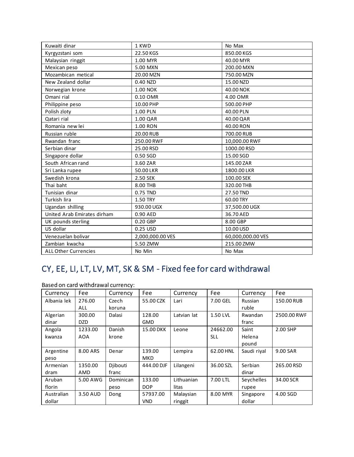| Kuwaiti dinar               | 1 KWD            | No Max            |
|-----------------------------|------------------|-------------------|
| Kyrgyzstani som             | 22.50 KGS        | 850.00 KGS        |
| Malaysian ringgit           | 1.00 MYR         | 40.00 MYR         |
| Mexican peso                | 5.00 MXN         | 200.00 MXN        |
| Mozambican metical          | 20.00 MZN        | 750.00 MZN        |
| New Zealand dollar          | 0.40 NZD         | 15.00 NZD         |
| Norwegian krone             | <b>1.00 NOK</b>  | 40.00 NOK         |
| Omani rial                  | 0.10 OMR         | 4.00 OMR          |
| Philippine peso             | 10.00 PHP        | 500.00 PHP        |
| Polish zloty                | 1.00 PLN         | 40.00 PLN         |
| Qatari rial                 | 1.00 QAR         | 40.00 QAR         |
| Romania new lei             | 1.00 RON         | 40.00 RON         |
| Russian ruble               | 20.00 RUB        | 700.00 RUB        |
| Rwandan franc               | 250.00 RWF       | 10,000.00 RWF     |
| Serbian dinar               | 25.00 RSD        | 1000.00 RSD       |
| Singapore dollar            | 0.50 SGD         | 15.00 SGD         |
| South African rand          | 3.60 ZAR         | 145.00 ZAR        |
| Sri Lanka rupee             | 50.00 LKR        | 1800.00 LKR       |
| Swedish krona               | 2.50 SEK         | 100.00 SEK        |
| Thai baht                   | 8.00 THB         | 320.00 THB        |
| Tunisian dinar              | 0.75 TND         | 27.50 TND         |
| Turkish lira                | 1.50 TRY         | 60.00 TRY         |
| Ugandan shilling            | 930.00 UGX       | 37,500.00 UGX     |
| United Arab Emirates dirham | 0.90 AED         | 36.70 AED         |
| UK pounds sterling          | 0.20 GBP         | 8.00 GBP          |
| US dollar                   | 0.25 USD         | 10.00 USD         |
| Venezuelan bolivar          | 2,000,000.00 VES | 60,000,000.00 VES |
| Zambian kwacha              | 5.50 ZMW         | 215.00 ZMW        |
| <b>ALL Other Currencies</b> | No Min           | No Max            |

## <span id="page-12-0"></span>CY, EE, LI, LT, LV, MT, SK & SM - Fixed fee for card withdrawal

| Currency    | Fee        | Currency  | Fee        | Currency    | Fee        | Currency    | Fee         |
|-------------|------------|-----------|------------|-------------|------------|-------------|-------------|
| Albania lek | 276.00     | Czech     | 55.00 CZK  | Lari        | 7.00 GEL   | Russian     | 150.00 RUB  |
|             | ALL        | koruna    |            |             |            | ruble       |             |
| Algerian    | 300.00     | Dalasi    | 128.00     | Latvian lat | 1.50 LVL   | Rwandan     | 2500.00 RWF |
| dinar       | <b>DZD</b> |           | <b>GMD</b> |             |            | franc       |             |
| Angola      | 1233.00    | Danish    | 15.00 DKK  | Leone       | 24662.00   | Saint       | 2.00 SHP    |
| kwanza      | <b>AOA</b> | krone     |            |             | <b>SLL</b> | Helena      |             |
|             |            |           |            |             |            | pound       |             |
| Argentine   | 8.00 ARS   | Denar     | 139.00     | Lempira     | 62.00 HNL  | Saudi rival | 9.00 SAR    |
| peso        |            |           | <b>MKD</b> |             |            |             |             |
| Armenian    | 1350.00    | Djibouti  | 444.00 DJF | Lilangeni   | 36.00 SZL  | Serbian     | 265.00 RSD  |
| dram        | AMD        | franc     |            |             |            | dinar       |             |
| Aruban      | 5.00 AWG   | Dominican | 133.00     | Lithuanian  | 7.00 LTL   | Seychelles  | 34.00 SCR   |
| florin      |            | peso      | <b>DOP</b> | litas       |            | rupee       |             |
| Australian  | 3.50 AUD   | Dong      | 57937.00   | Malaysian   | 8.00 MYR   | Singapore   | 4.00 SGD    |
| dollar      |            |           | <b>VND</b> | ringgit     |            | dollar      |             |

Based on card withdrawal currency: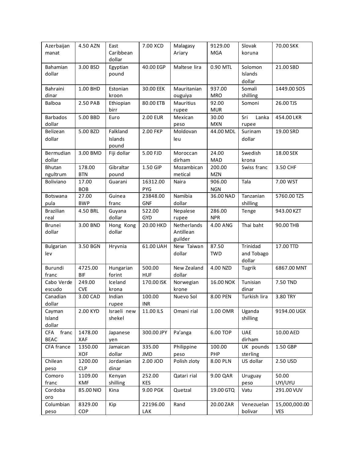| Azerbaijan<br>manat                | 4.50 AZN              | East<br>Caribbean<br>dollar  | 7.00 XCD               | Malagasy<br>Ariary                  | 9129.00<br><b>MGA</b> | Slovak<br>koruna                 | 70.00 SKK                   |
|------------------------------------|-----------------------|------------------------------|------------------------|-------------------------------------|-----------------------|----------------------------------|-----------------------------|
| Bahamian<br>dollar                 | 3.00 BSD              | Egyptian<br>pound            | 40.00 EGP              | Maltese lira                        | 0.90 MTL              | Solomon<br>Islands<br>dollar     | 21.00 SBD                   |
| Bahraini<br>dinar                  | 1.00 BHD              | Estonian<br>kroon            | 30.00 EEK              | Mauritanian<br>ouguiya              | 937.00<br><b>MRO</b>  | Somali<br>shilling               | 1449.00 SOS                 |
| <b>Balboa</b>                      | 2.50 PAB              | Ethiopian<br>birr            | 80.00 ETB              | <b>Mauritius</b><br>rupee           | 92.00<br><b>MUR</b>   | Somoni                           | 26.00 TJS                   |
| <b>Barbados</b><br>dollar          | 5.00 BBD              | Euro                         | <b>2.00 EUR</b>        | Mexican<br>peso                     | 30.00<br><b>MXN</b>   | Sri<br>Lanka<br>rupee            | 454.00 LKR                  |
| Belizean<br>dollar                 | 5.00 BZD              | Falkland<br>Islands<br>pound | 2.00 FKP               | Moldovan<br>leu                     | 44.00 MDL             | Surinam<br>dollar                | 19.00 SRD                   |
| Bermudian<br>dollar                | 3.00 BMD              | Fiji dollar                  | 5.00 FJD               | Moroccan<br>dirham                  | 24.00<br>MAD          | Swedish<br>krona                 | 18.00 SEK                   |
| Bhutan<br>ngultrum                 | 178.00<br><b>BTN</b>  | Gibraltar<br>pound           | 1.50 GIP               | Mozambican<br>metical               | 200.00<br><b>MZN</b>  | Swiss franc                      | 3.50 CHF                    |
| <b>Boliviano</b>                   | 17.00<br><b>BOB</b>   | Guarani                      | 16312.00<br>PYG        | Naira                               | 906.00<br><b>NGN</b>  | Tala                             | 7.00 WST                    |
| Botswana<br>pula                   | 27.00<br><b>BWP</b>   | Guinea<br>franc              | 23848.00<br><b>GNF</b> | Namibia<br>dollar                   | 36.00 NAD             | Tanzanian<br>shilling            | 5760.00 TZS                 |
| <b>Brazilian</b><br>real           | 4.50 BRL              | Guyana<br>dollar             | 522.00<br><b>GYD</b>   | Nepalese<br>rupee                   | 286.00<br><b>NPR</b>  | Tenge                            | 943.00 KZT                  |
| <b>Brunei</b><br>dollar            | 3.00 BND              | Hong Kong<br>dollar          | 20.00 HKD              | Netherlands<br>Antillean<br>guilder | 4.00 ANG              | Thai baht                        | 90.00 THB                   |
| <b>Bulgarian</b><br>lev            | 3.50 BGN              | Hryvnia                      | 61.00 UAH              | New Taiwan<br>dollar                | 87.50<br><b>TWD</b>   | Trinidad<br>and Tobago<br>dollar | 17.00 TTD                   |
| Burundi<br>franc                   | 4725.00<br><b>BIF</b> | Hungarian<br>forint          | 500.00<br><b>HUF</b>   | New Zealand<br>dollar               | 4.00 NZD              | Tugrik                           | 6867.00 MNT                 |
| Cabo Verde<br>escudo               | 249.00<br><b>CVE</b>  | Iceland<br>krona             | 170.00 ISK             | Norwegian<br>krone                  | 16.00 NOK             | Tunisian<br>dinar                | 7.50 TND                    |
| Canadian<br>dollar                 | 3.00 CAD              | Indian<br>rupee              | 100.00<br><b>INR</b>   | Nuevo Sol                           | 8.00 PEN              | Turkish lira                     | 3.80 TRY                    |
| Cayman<br>Island<br>dollar         | 2.00 KYD              | Israeli new<br>shekel        | 11.00 ILS              | Omani rial                          | 1.00 OMR              | Uganda<br>shilling               | 9194.00 UGX                 |
| franc<br><b>CFA</b><br><b>BEAC</b> | 1478.00<br>XAF        | Japanese<br>yen              | 300.00 JPY             | Pa'anga                             | 6.00 TOP              | <b>UAE</b><br>dirham             | 10.00 AED                   |
| CFA france                         | 1350.00<br>XOF        | Jamaican<br>dollar           | 335.00<br>JMD          | Philippine<br>peso                  | 100.00<br>PHP         | UK pounds<br>sterling            | 1.50 GBP                    |
| Chilean<br>peso                    | 1200.00<br><b>CLP</b> | Jordanian<br>dinar           | 2.00 JOD               | Polish zloty                        | 8.00 PLN              | US dollar                        | 2.50 USD                    |
| Comoro<br>franc                    | 1109.00<br><b>KMF</b> | Kenyan<br>shilling           | 252.00<br><b>KES</b>   | Qatari rial                         | 9.00 QAR              | Uruguay<br>peso                  | 50.00<br>UYI/UYU            |
| Cordoba<br>oro                     | 85.00 NIO             | Kina                         | 9.00 PGK               | Quetzal                             | 19.00 GTQ             | Vatu                             | 291.00 VUV                  |
| Columbian<br>peso                  | 8329.00<br>COP        | Kip                          | 22196.00<br>LAK        | Rand                                | 20.00 ZAR             | Venezuelan<br>bolivar            | 15,000,000.00<br><b>VES</b> |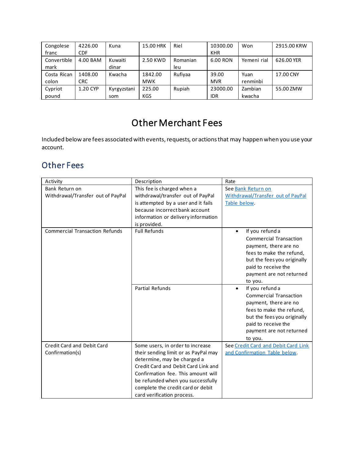| Congolese   | 4226.00    | Kuna        | 15.00 HRK  | Riel     | 10300.00   | Won         | 2915.00 KRW |
|-------------|------------|-------------|------------|----------|------------|-------------|-------------|
| franc       | CDF        |             |            |          | <b>KHR</b> |             |             |
| Convertible | 4.00 BAM   | Kuwaiti     | 2.50 KWD   | Romanian | 6.00 RON   | Yemeni rial | 626.00 YER  |
| mark        |            | dinar       |            | leu      |            |             |             |
| Costa Rican | 1408.00    | Kwacha      | 1842.00    | Rufiyaa  | 39.00      | Yuan        | 17.00 CNY   |
| colon       | <b>CRC</b> |             | <b>MWK</b> |          | <b>MVR</b> | renminbi    |             |
| Cypriot     | 1.20 CYP   | Kyrgyzstani | 225.00     | Rupiah   | 23000.00   | Zambian     | 55.00 ZMW   |
| pound       |            | som         | KGS        |          | <b>IDR</b> | kwacha      |             |

## Other Merchant Fees

Included below are fees associated with events, requests, or actions that may happen when you use your account.

#### Other Fees

| Activity                              | Description                          | Rate                                |
|---------------------------------------|--------------------------------------|-------------------------------------|
| Bank Return on                        | This fee is charged when a           | See Bank Return on                  |
| Withdrawal/Transfer out of PayPal     | withdrawal/transfer out of PayPal    | Withdrawal/Transfer out of PayPal   |
|                                       | is attempted by a user and it fails  | Table below.                        |
|                                       | because incorrect bank account       |                                     |
|                                       | information or delivery information  |                                     |
|                                       | is provided.                         |                                     |
| <b>Commercial Transaction Refunds</b> | <b>Full Refunds</b>                  | If you refund a<br>$\bullet$        |
|                                       |                                      | <b>Commercial Transaction</b>       |
|                                       |                                      | payment, there are no               |
|                                       |                                      | fees to make the refund,            |
|                                       |                                      | but the fees you originally         |
|                                       |                                      | paid to receive the                 |
|                                       |                                      | payment are not returned            |
|                                       |                                      | to you.                             |
|                                       | <b>Partial Refunds</b>               | If you refund a<br>$\bullet$        |
|                                       |                                      | <b>Commercial Transaction</b>       |
|                                       |                                      | payment, there are no               |
|                                       |                                      | fees to make the refund,            |
|                                       |                                      | but the fees you originally         |
|                                       |                                      | paid to receive the                 |
|                                       |                                      | payment are not returned            |
|                                       |                                      | to you.                             |
| Credit Card and Debit Card            | Some users, in order to increase     | See Credit Card and Debit Card Link |
| Confirmation(s)                       | their sending limit or as PayPal may | and Confirmation Table below.       |
|                                       | determine, may be charged a          |                                     |
|                                       | Credit Card and Debit Card Link and  |                                     |
|                                       | Confirmation fee. This amount will   |                                     |
|                                       | be refunded when you successfully    |                                     |
|                                       | complete the credit card or debit    |                                     |
|                                       | card verification process.           |                                     |